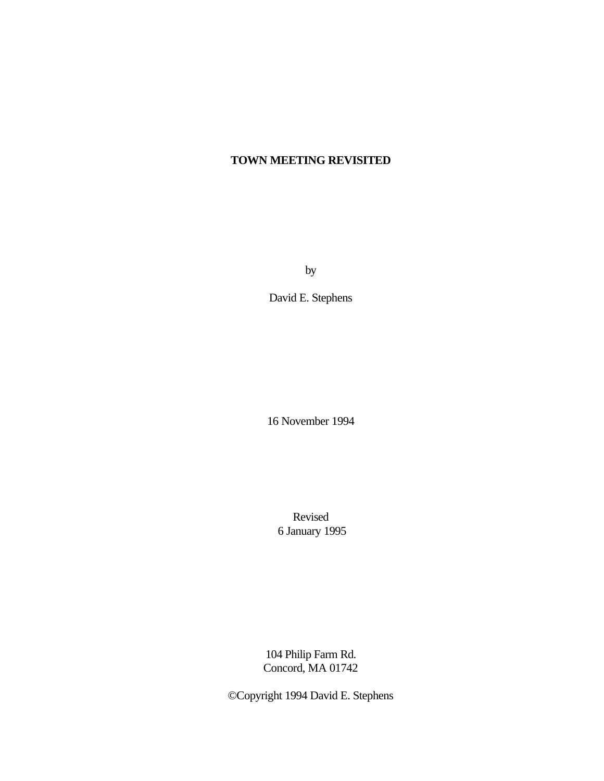# **TOWN MEETING REVISITED**

by

David E. Stephens

16 November 1994

Revised 6 January 1995

104 Philip Farm Rd. Concord, MA 01742

©Copyright 1994 David E. Stephens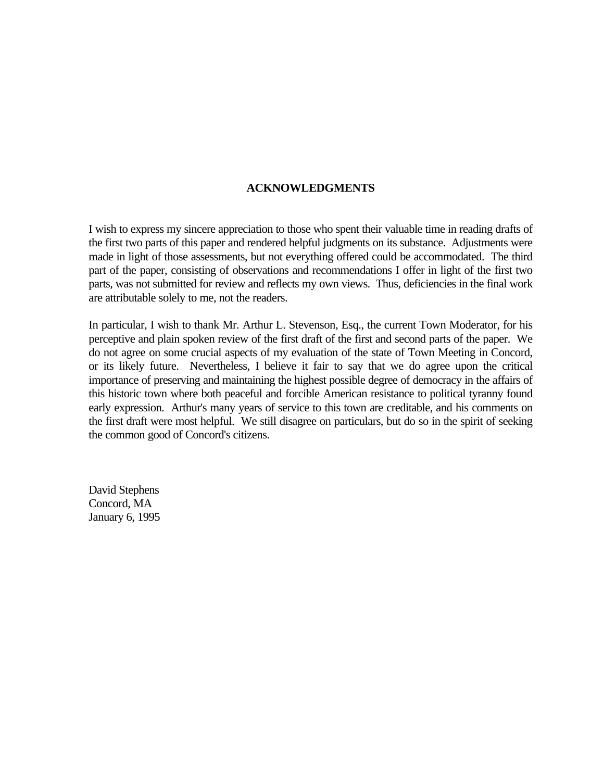#### **ACKNOWLEDGMENTS**

I wish to express my sincere appreciation to those who spent their valuable time in reading drafts of the first two parts of this paper and rendered helpful judgments on its substance. Adjustments were made in light of those assessments, but not everything offered could be accommodated. The third part of the paper, consisting of observations and recommendations I offer in light of the first two parts, was not submitted for review and reflects my own views. Thus, deficiencies in the final work are attributable solely to me, not the readers.

In particular, I wish to thank Mr. Arthur L. Stevenson, Esq., the current Town Moderator, for his perceptive and plain spoken review of the first draft of the first and second parts of the paper. We do not agree on some crucial aspects of my evaluation of the state of Town Meeting in Concord, or its likely future. Nevertheless, I believe it fair to say that we do agree upon the critical importance of preserving and maintaining the highest possible degree of democracy in the affairs of this historic town where both peaceful and forcible American resistance to political tyranny found early expression. Arthur's many years of service to this town are creditable, and his comments on the first draft were most helpful. We still disagree on particulars, but do so in the spirit of seeking the common good of Concord's citizens.

David Stephens Concord, MA January 6, 1995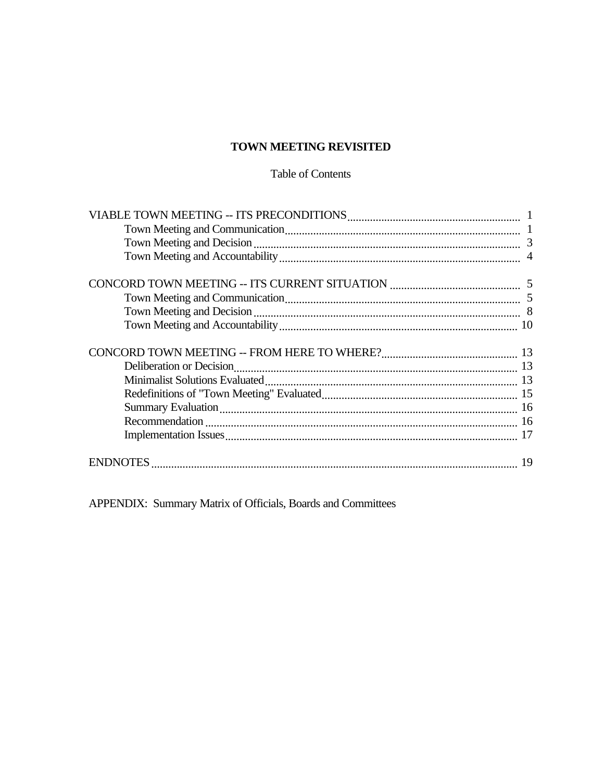## TOWN MEETING REVISITED

### Table of Contents

APPENDIX: Summary Matrix of Officials, Boards and Committees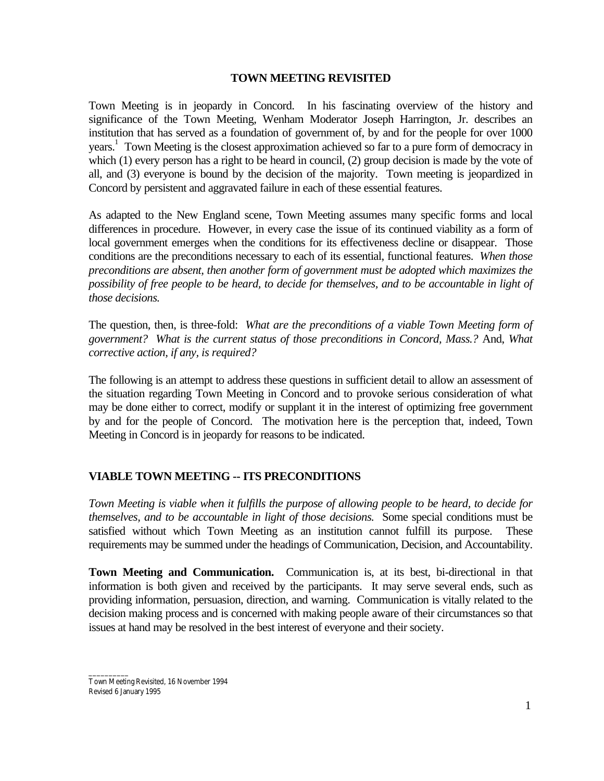#### **TOWN MEETING REVISITED**

Town Meeting is in jeopardy in Concord. In his fascinating overview of the history and significance of the Town Meeting, Wenham Moderator Joseph Harrington, Jr. describes an institution that has served as a foundation of government of, by and for the people for over 1000 years.<sup>1</sup> Town Meeting is the closest approximation achieved so far to a pure form of democracy in which (1) every person has a right to be heard in council, (2) group decision is made by the vote of all, and (3) everyone is bound by the decision of the majority. Town meeting is jeopardized in Concord by persistent and aggravated failure in each of these essential features.

As adapted to the New England scene, Town Meeting assumes many specific forms and local differences in procedure. However, in every case the issue of its continued viability as a form of local government emerges when the conditions for its effectiveness decline or disappear. Those conditions are the preconditions necessary to each of its essential, functional features. *When those preconditions are absent, then another form of government must be adopted which maximizes the possibility of free people to be heard, to decide for themselves, and to be accountable in light of those decisions.*

The question, then, is three-fold: *What are the preconditions of a viable Town Meeting form of government? What is the current status of those preconditions in Concord, Mass.?* And, *What corrective action, if any, is required?*

The following is an attempt to address these questions in sufficient detail to allow an assessment of the situation regarding Town Meeting in Concord and to provoke serious consideration of what may be done either to correct, modify or supplant it in the interest of optimizing free government by and for the people of Concord. The motivation here is the perception that, indeed, Town Meeting in Concord is in jeopardy for reasons to be indicated.

### **VIABLE TOWN MEETING -- ITS PRECONDITIONS**

*Town Meeting is viable when it fulfills the purpose of allowing people to be heard, to decide for themselves, and to be accountable in light of those decisions.* Some special conditions must be satisfied without which Town Meeting as an institution cannot fulfill its purpose. These requirements may be summed under the headings of Communication, Decision, and Accountability.

**Town Meeting and Communication.** Communication is, at its best, bi-directional in that information is both given and received by the participants. It may serve several ends, such as providing information, persuasion, direction, and warning. Communication is vitally related to the decision making process and is concerned with making people aware of their circumstances so that issues at hand may be resolved in the best interest of everyone and their society.

\_\_\_\_\_\_\_\_\_\_ Town Meeting Revisited, 16 November 1994 Revised 6 January 1995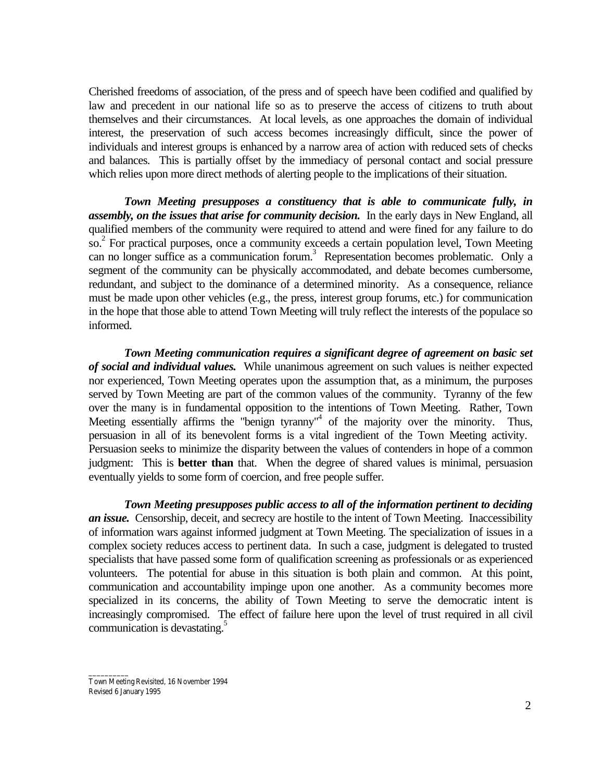Cherished freedoms of association, of the press and of speech have been codified and qualified by law and precedent in our national life so as to preserve the access of citizens to truth about themselves and their circumstances. At local levels, as one approaches the domain of individual interest, the preservation of such access becomes increasingly difficult, since the power of individuals and interest groups is enhanced by a narrow area of action with reduced sets of checks and balances. This is partially offset by the immediacy of personal contact and social pressure which relies upon more direct methods of alerting people to the implications of their situation.

*Town Meeting presupposes a constituency that is able to communicate fully, in assembly, on the issues that arise for community decision.* In the early days in New England, all qualified members of the community were required to attend and were fined for any failure to do so.<sup>2</sup> For practical purposes, once a community exceeds a certain population level, Town Meeting can no longer suffice as a communication forum.<sup>3</sup> Representation becomes problematic. Only a segment of the community can be physically accommodated, and debate becomes cumbersome, redundant, and subject to the dominance of a determined minority. As a consequence, reliance must be made upon other vehicles (e.g., the press, interest group forums, etc.) for communication in the hope that those able to attend Town Meeting will truly reflect the interests of the populace so informed.

*Town Meeting communication requires a significant degree of agreement on basic set of social and individual values.* While unanimous agreement on such values is neither expected nor experienced, Town Meeting operates upon the assumption that, as a minimum, the purposes served by Town Meeting are part of the common values of the community. Tyranny of the few over the many is in fundamental opposition to the intentions of Town Meeting. Rather, Town Meeting essentially affirms the "benign tyranny"<sup>4</sup> of the majority over the minority. Thus, persuasion in all of its benevolent forms is a vital ingredient of the Town Meeting activity. Persuasion seeks to minimize the disparity between the values of contenders in hope of a common judgment: This is **better than** that. When the degree of shared values is minimal, persuasion eventually yields to some form of coercion, and free people suffer.

*Town Meeting presupposes public access to all of the information pertinent to deciding an issue.* Censorship, deceit, and secrecy are hostile to the intent of Town Meeting. Inaccessibility of information wars against informed judgment at Town Meeting. The specialization of issues in a complex society reduces access to pertinent data. In such a case, judgment is delegated to trusted specialists that have passed some form of qualification screening as professionals or as experienced volunteers. The potential for abuse in this situation is both plain and common. At this point, communication and accountability impinge upon one another. As a community becomes more specialized in its concerns, the ability of Town Meeting to serve the democratic intent is increasingly compromised. The effect of failure here upon the level of trust required in all civil communication is devastating. $\frac{5}{5}$ 

Town Meeting Revisited, 16 November 1994 Revised 6 January 1995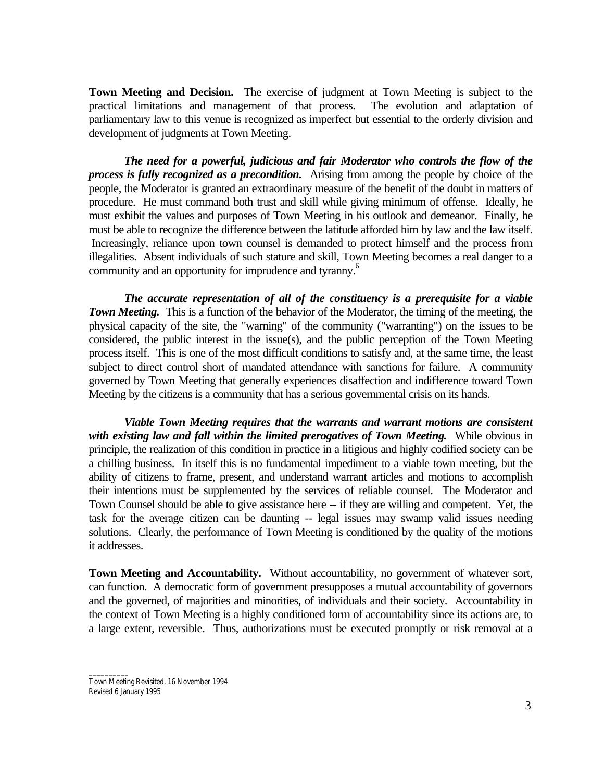**Town Meeting and Decision.** The exercise of judgment at Town Meeting is subject to the practical limitations and management of that process. The evolution and adaptation of parliamentary law to this venue is recognized as imperfect but essential to the orderly division and development of judgments at Town Meeting.

*The need for a powerful, judicious and fair Moderator who controls the flow of the process is fully recognized as a precondition.* Arising from among the people by choice of the people, the Moderator is granted an extraordinary measure of the benefit of the doubt in matters of procedure. He must command both trust and skill while giving minimum of offense. Ideally, he must exhibit the values and purposes of Town Meeting in his outlook and demeanor. Finally, he must be able to recognize the difference between the latitude afforded him by law and the law itself. Increasingly, reliance upon town counsel is demanded to protect himself and the process from illegalities. Absent individuals of such stature and skill, Town Meeting becomes a real danger to a community and an opportunity for imprudence and tyranny.<sup>6</sup>

*The accurate representation of all of the constituency is a prerequisite for a viable Town Meeting.* This is a function of the behavior of the Moderator, the timing of the meeting, the physical capacity of the site, the "warning" of the community ("warranting") on the issues to be considered, the public interest in the issue(s), and the public perception of the Town Meeting process itself. This is one of the most difficult conditions to satisfy and, at the same time, the least subject to direct control short of mandated attendance with sanctions for failure. A community governed by Town Meeting that generally experiences disaffection and indifference toward Town Meeting by the citizens is a community that has a serious governmental crisis on its hands.

*Viable Town Meeting requires that the warrants and warrant motions are consistent with existing law and fall within the limited prerogatives of Town Meeting.* While obvious in principle, the realization of this condition in practice in a litigious and highly codified society can be a chilling business. In itself this is no fundamental impediment to a viable town meeting, but the ability of citizens to frame, present, and understand warrant articles and motions to accomplish their intentions must be supplemented by the services of reliable counsel. The Moderator and Town Counsel should be able to give assistance here -- if they are willing and competent. Yet, the task for the average citizen can be daunting -- legal issues may swamp valid issues needing solutions. Clearly, the performance of Town Meeting is conditioned by the quality of the motions it addresses.

**Town Meeting and Accountability.** Without accountability, no government of whatever sort, can function. A democratic form of government presupposes a mutual accountability of governors and the governed, of majorities and minorities, of individuals and their society. Accountability in the context of Town Meeting is a highly conditioned form of accountability since its actions are, to a large extent, reversible. Thus, authorizations must be executed promptly or risk removal at a

Town Meeting Revisited, 16 November 1994 Revised 6 January 1995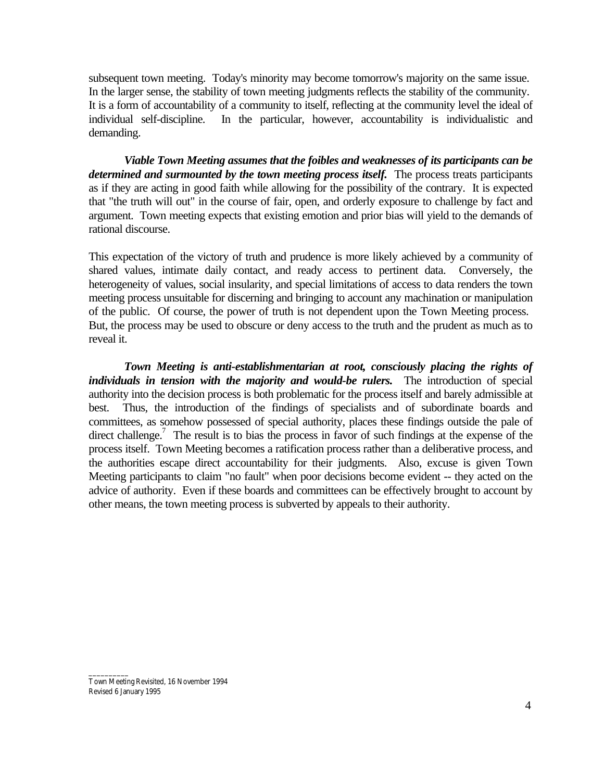subsequent town meeting. Today's minority may become tomorrow's majority on the same issue. In the larger sense, the stability of town meeting judgments reflects the stability of the community. It is a form of accountability of a community to itself, reflecting at the community level the ideal of individual self-discipline. In the particular, however, accountability is individualistic and demanding.

*Viable Town Meeting assumes that the foibles and weaknesses of its participants can be determined and surmounted by the town meeting process itself.* The process treats participants as if they are acting in good faith while allowing for the possibility of the contrary. It is expected that "the truth will out" in the course of fair, open, and orderly exposure to challenge by fact and argument. Town meeting expects that existing emotion and prior bias will yield to the demands of rational discourse.

This expectation of the victory of truth and prudence is more likely achieved by a community of shared values, intimate daily contact, and ready access to pertinent data. Conversely, the heterogeneity of values, social insularity, and special limitations of access to data renders the town meeting process unsuitable for discerning and bringing to account any machination or manipulation of the public. Of course, the power of truth is not dependent upon the Town Meeting process. But, the process may be used to obscure or deny access to the truth and the prudent as much as to reveal it.

*Town Meeting is anti-establishmentarian at root, consciously placing the rights of individuals in tension with the majority and would-be rulers.* The introduction of special authority into the decision process is both problematic for the process itself and barely admissible at best. Thus, the introduction of the findings of specialists and of subordinate boards and committees, as somehow possessed of special authority, places these findings outside the pale of direct challenge.<sup>7</sup> The result is to bias the process in favor of such findings at the expense of the process itself. Town Meeting becomes a ratification process rather than a deliberative process, and the authorities escape direct accountability for their judgments. Also, excuse is given Town Meeting participants to claim "no fault" when poor decisions become evident -- they acted on the advice of authority. Even if these boards and committees can be effectively brought to account by other means, the town meeting process is subverted by appeals to their authority.

Town Meeting Revisited, 16 November 1994 Revised 6 January 1995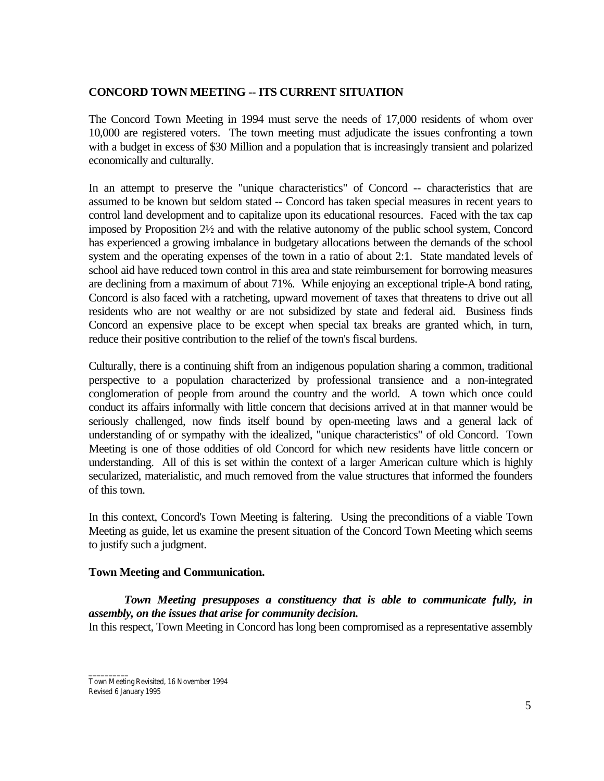### **CONCORD TOWN MEETING -- ITS CURRENT SITUATION**

The Concord Town Meeting in 1994 must serve the needs of 17,000 residents of whom over 10,000 are registered voters. The town meeting must adjudicate the issues confronting a town with a budget in excess of \$30 Million and a population that is increasingly transient and polarized economically and culturally.

In an attempt to preserve the "unique characteristics" of Concord -- characteristics that are assumed to be known but seldom stated -- Concord has taken special measures in recent years to control land development and to capitalize upon its educational resources. Faced with the tax cap imposed by Proposition 2½ and with the relative autonomy of the public school system, Concord has experienced a growing imbalance in budgetary allocations between the demands of the school system and the operating expenses of the town in a ratio of about 2:1. State mandated levels of school aid have reduced town control in this area and state reimbursement for borrowing measures are declining from a maximum of about 71%. While enjoying an exceptional triple-A bond rating, Concord is also faced with a ratcheting, upward movement of taxes that threatens to drive out all residents who are not wealthy or are not subsidized by state and federal aid. Business finds Concord an expensive place to be except when special tax breaks are granted which, in turn, reduce their positive contribution to the relief of the town's fiscal burdens.

Culturally, there is a continuing shift from an indigenous population sharing a common, traditional perspective to a population characterized by professional transience and a non-integrated conglomeration of people from around the country and the world. A town which once could conduct its affairs informally with little concern that decisions arrived at in that manner would be seriously challenged, now finds itself bound by open-meeting laws and a general lack of understanding of or sympathy with the idealized, "unique characteristics" of old Concord. Town Meeting is one of those oddities of old Concord for which new residents have little concern or understanding. All of this is set within the context of a larger American culture which is highly secularized, materialistic, and much removed from the value structures that informed the founders of this town.

In this context, Concord's Town Meeting is faltering. Using the preconditions of a viable Town Meeting as guide, let us examine the present situation of the Concord Town Meeting which seems to justify such a judgment.

### **Town Meeting and Communication.**

*Town Meeting presupposes a constituency that is able to communicate fully, in assembly, on the issues that arise for community decision.*

In this respect, Town Meeting in Concord has long been compromised as a representative assembly

\_\_\_\_\_\_\_\_\_\_ Town Meeting Revisited, 16 November 1994 Revised 6 January 1995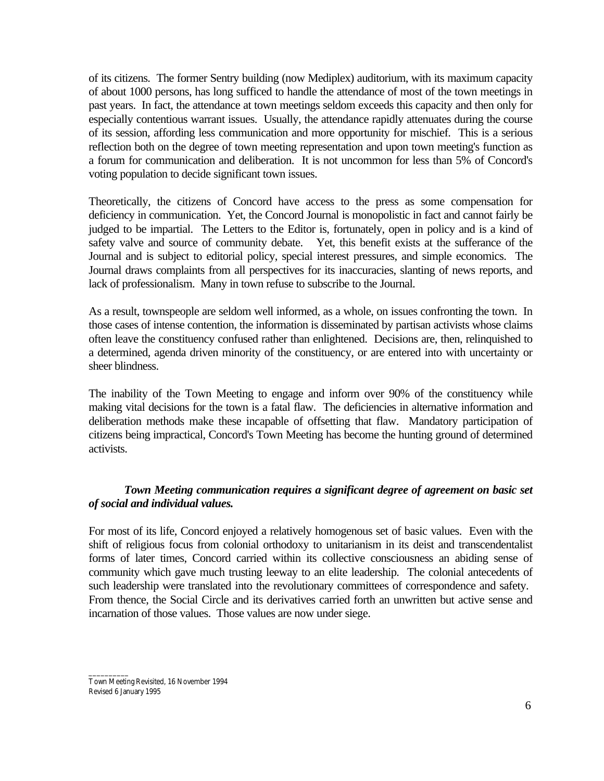of its citizens. The former Sentry building (now Mediplex) auditorium, with its maximum capacity of about 1000 persons, has long sufficed to handle the attendance of most of the town meetings in past years. In fact, the attendance at town meetings seldom exceeds this capacity and then only for especially contentious warrant issues. Usually, the attendance rapidly attenuates during the course of its session, affording less communication and more opportunity for mischief. This is a serious reflection both on the degree of town meeting representation and upon town meeting's function as a forum for communication and deliberation. It is not uncommon for less than 5% of Concord's voting population to decide significant town issues.

Theoretically, the citizens of Concord have access to the press as some compensation for deficiency in communication. Yet, the Concord Journal is monopolistic in fact and cannot fairly be judged to be impartial. The Letters to the Editor is, fortunately, open in policy and is a kind of safety valve and source of community debate. Yet, this benefit exists at the sufferance of the Journal and is subject to editorial policy, special interest pressures, and simple economics. The Journal draws complaints from all perspectives for its inaccuracies, slanting of news reports, and lack of professionalism. Many in town refuse to subscribe to the Journal.

As a result, townspeople are seldom well informed, as a whole, on issues confronting the town. In those cases of intense contention, the information is disseminated by partisan activists whose claims often leave the constituency confused rather than enlightened. Decisions are, then, relinquished to a determined, agenda driven minority of the constituency, or are entered into with uncertainty or sheer blindness.

The inability of the Town Meeting to engage and inform over 90% of the constituency while making vital decisions for the town is a fatal flaw. The deficiencies in alternative information and deliberation methods make these incapable of offsetting that flaw. Mandatory participation of citizens being impractical, Concord's Town Meeting has become the hunting ground of determined activists.

### *Town Meeting communication requires a significant degree of agreement on basic set of social and individual values.*

For most of its life, Concord enjoyed a relatively homogenous set of basic values. Even with the shift of religious focus from colonial orthodoxy to unitarianism in its deist and transcendentalist forms of later times, Concord carried within its collective consciousness an abiding sense of community which gave much trusting leeway to an elite leadership. The colonial antecedents of such leadership were translated into the revolutionary committees of correspondence and safety. From thence, the Social Circle and its derivatives carried forth an unwritten but active sense and incarnation of those values. Those values are now under siege.

Town Meeting Revisited, 16 November 1994 Revised 6 January 1995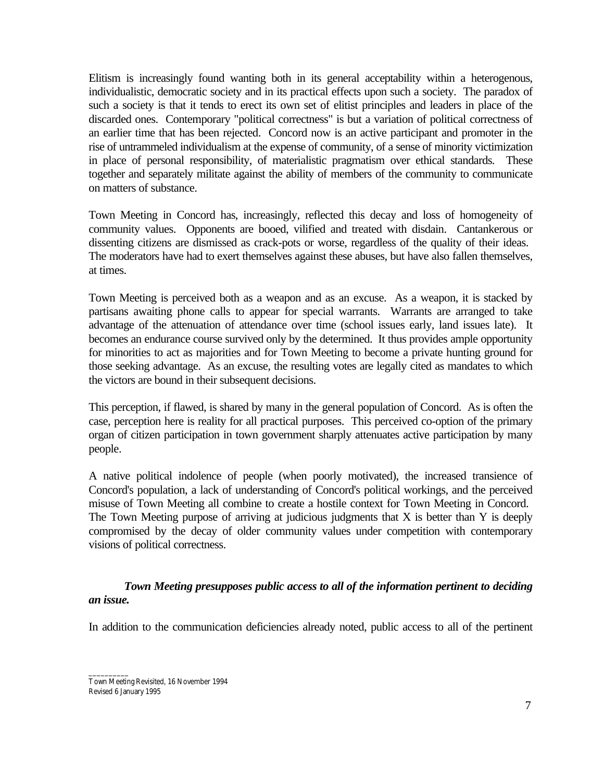Elitism is increasingly found wanting both in its general acceptability within a heterogenous, individualistic, democratic society and in its practical effects upon such a society. The paradox of such a society is that it tends to erect its own set of elitist principles and leaders in place of the discarded ones. Contemporary "political correctness" is but a variation of political correctness of an earlier time that has been rejected. Concord now is an active participant and promoter in the rise of untrammeled individualism at the expense of community, of a sense of minority victimization in place of personal responsibility, of materialistic pragmatism over ethical standards. These together and separately militate against the ability of members of the community to communicate on matters of substance.

Town Meeting in Concord has, increasingly, reflected this decay and loss of homogeneity of community values. Opponents are booed, vilified and treated with disdain. Cantankerous or dissenting citizens are dismissed as crack-pots or worse, regardless of the quality of their ideas. The moderators have had to exert themselves against these abuses, but have also fallen themselves, at times.

Town Meeting is perceived both as a weapon and as an excuse. As a weapon, it is stacked by partisans awaiting phone calls to appear for special warrants. Warrants are arranged to take advantage of the attenuation of attendance over time (school issues early, land issues late). It becomes an endurance course survived only by the determined. It thus provides ample opportunity for minorities to act as majorities and for Town Meeting to become a private hunting ground for those seeking advantage. As an excuse, the resulting votes are legally cited as mandates to which the victors are bound in their subsequent decisions.

This perception, if flawed, is shared by many in the general population of Concord. As is often the case, perception here is reality for all practical purposes. This perceived co-option of the primary organ of citizen participation in town government sharply attenuates active participation by many people.

A native political indolence of people (when poorly motivated), the increased transience of Concord's population, a lack of understanding of Concord's political workings, and the perceived misuse of Town Meeting all combine to create a hostile context for Town Meeting in Concord. The Town Meeting purpose of arriving at judicious judgments that  $X$  is better than  $Y$  is deeply compromised by the decay of older community values under competition with contemporary visions of political correctness.

*Town Meeting presupposes public access to all of the information pertinent to deciding an issue.*

In addition to the communication deficiencies already noted, public access to all of the pertinent

\_\_\_\_\_\_\_\_\_\_ Town Meeting Revisited, 16 November 1994 Revised 6 January 1995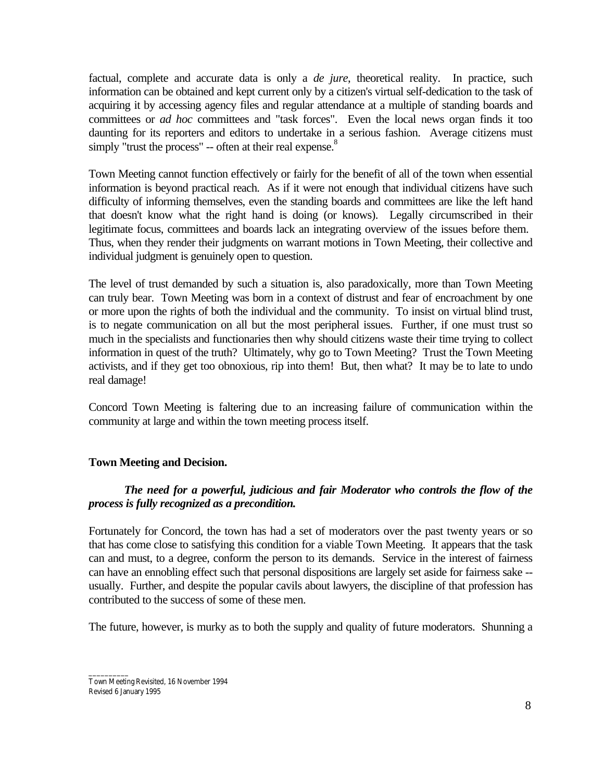factual, complete and accurate data is only a *de jure*, theoretical reality. In practice, such information can be obtained and kept current only by a citizen's virtual self-dedication to the task of acquiring it by accessing agency files and regular attendance at a multiple of standing boards and committees or *ad hoc* committees and "task forces". Even the local news organ finds it too daunting for its reporters and editors to undertake in a serious fashion. Average citizens must simply "trust the process"  $-$  often at their real expense. $8$ 

Town Meeting cannot function effectively or fairly for the benefit of all of the town when essential information is beyond practical reach. As if it were not enough that individual citizens have such difficulty of informing themselves, even the standing boards and committees are like the left hand that doesn't know what the right hand is doing (or knows). Legally circumscribed in their legitimate focus, committees and boards lack an integrating overview of the issues before them. Thus, when they render their judgments on warrant motions in Town Meeting, their collective and individual judgment is genuinely open to question.

The level of trust demanded by such a situation is, also paradoxically, more than Town Meeting can truly bear. Town Meeting was born in a context of distrust and fear of encroachment by one or more upon the rights of both the individual and the community. To insist on virtual blind trust, is to negate communication on all but the most peripheral issues. Further, if one must trust so much in the specialists and functionaries then why should citizens waste their time trying to collect information in quest of the truth? Ultimately, why go to Town Meeting? Trust the Town Meeting activists, and if they get too obnoxious, rip into them! But, then what? It may be to late to undo real damage!

Concord Town Meeting is faltering due to an increasing failure of communication within the community at large and within the town meeting process itself.

#### **Town Meeting and Decision.**

### *The need for a powerful, judicious and fair Moderator who controls the flow of the process is fully recognized as a precondition.*

Fortunately for Concord, the town has had a set of moderators over the past twenty years or so that has come close to satisfying this condition for a viable Town Meeting. It appears that the task can and must, to a degree, conform the person to its demands. Service in the interest of fairness can have an ennobling effect such that personal dispositions are largely set aside for fairness sake - usually. Further, and despite the popular cavils about lawyers, the discipline of that profession has contributed to the success of some of these men.

The future, however, is murky as to both the supply and quality of future moderators. Shunning a

\_\_\_\_\_\_\_\_\_\_ Town Meeting Revisited, 16 November 1994 Revised 6 January 1995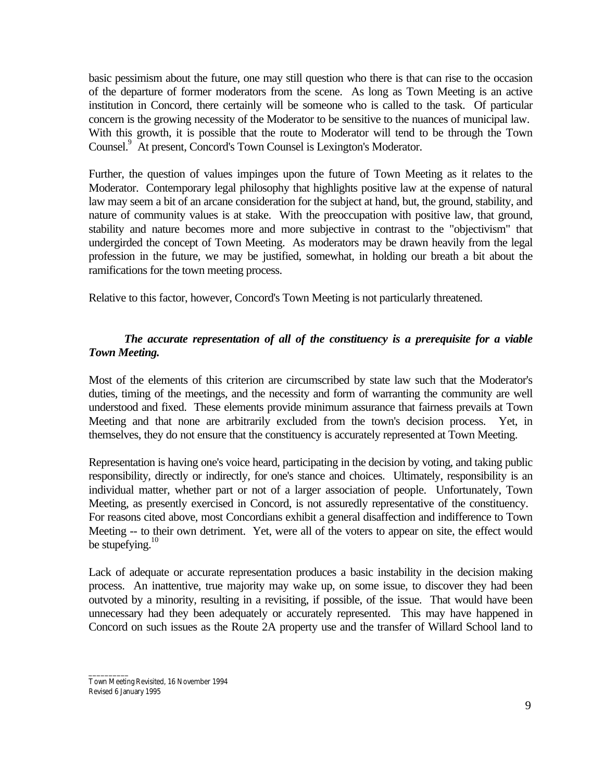basic pessimism about the future, one may still question who there is that can rise to the occasion of the departure of former moderators from the scene. As long as Town Meeting is an active institution in Concord, there certainly will be someone who is called to the task. Of particular concern is the growing necessity of the Moderator to be sensitive to the nuances of municipal law. With this growth, it is possible that the route to Moderator will tend to be through the Town Counsel.<sup>9</sup> At present, Concord's Town Counsel is Lexington's Moderator.

Further, the question of values impinges upon the future of Town Meeting as it relates to the Moderator. Contemporary legal philosophy that highlights positive law at the expense of natural law may seem a bit of an arcane consideration for the subject at hand, but, the ground, stability, and nature of community values is at stake. With the preoccupation with positive law, that ground, stability and nature becomes more and more subjective in contrast to the "objectivism" that undergirded the concept of Town Meeting. As moderators may be drawn heavily from the legal profession in the future, we may be justified, somewhat, in holding our breath a bit about the ramifications for the town meeting process.

Relative to this factor, however, Concord's Town Meeting is not particularly threatened.

## *The accurate representation of all of the constituency is a prerequisite for a viable Town Meeting.*

Most of the elements of this criterion are circumscribed by state law such that the Moderator's duties, timing of the meetings, and the necessity and form of warranting the community are well understood and fixed. These elements provide minimum assurance that fairness prevails at Town Meeting and that none are arbitrarily excluded from the town's decision process. Yet, in themselves, they do not ensure that the constituency is accurately represented at Town Meeting.

Representation is having one's voice heard, participating in the decision by voting, and taking public responsibility, directly or indirectly, for one's stance and choices. Ultimately, responsibility is an individual matter, whether part or not of a larger association of people. Unfortunately, Town Meeting, as presently exercised in Concord, is not assuredly representative of the constituency. For reasons cited above, most Concordians exhibit a general disaffection and indifference to Town Meeting -- to their own detriment. Yet, were all of the voters to appear on site, the effect would be stupefying. $10$ 

Lack of adequate or accurate representation produces a basic instability in the decision making process. An inattentive, true majority may wake up, on some issue, to discover they had been outvoted by a minority, resulting in a revisiting, if possible, of the issue. That would have been unnecessary had they been adequately or accurately represented. This may have happened in Concord on such issues as the Route 2A property use and the transfer of Willard School land to

\_\_\_\_\_\_\_\_\_\_ Town Meeting Revisited, 16 November 1994 Revised 6 January 1995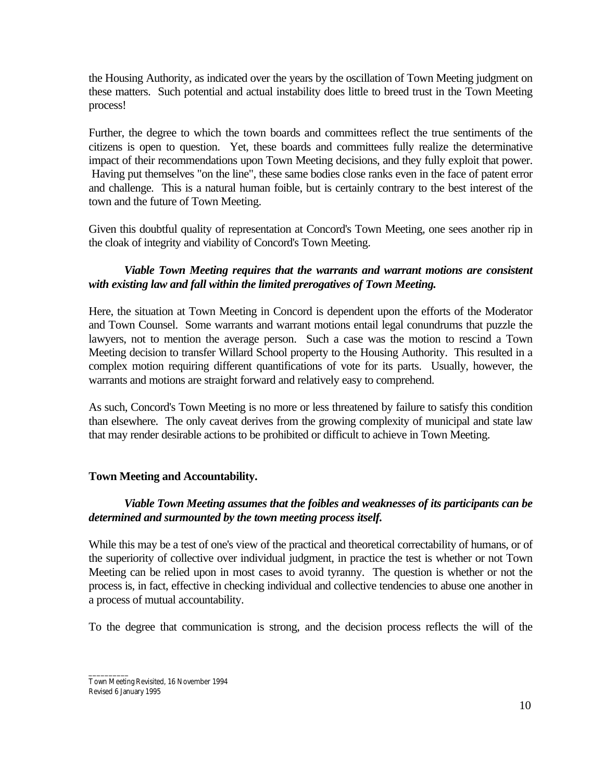the Housing Authority, as indicated over the years by the oscillation of Town Meeting judgment on these matters. Such potential and actual instability does little to breed trust in the Town Meeting process!

Further, the degree to which the town boards and committees reflect the true sentiments of the citizens is open to question. Yet, these boards and committees fully realize the determinative impact of their recommendations upon Town Meeting decisions, and they fully exploit that power. Having put themselves "on the line", these same bodies close ranks even in the face of patent error and challenge. This is a natural human foible, but is certainly contrary to the best interest of the town and the future of Town Meeting.

Given this doubtful quality of representation at Concord's Town Meeting, one sees another rip in the cloak of integrity and viability of Concord's Town Meeting.

### *Viable Town Meeting requires that the warrants and warrant motions are consistent with existing law and fall within the limited prerogatives of Town Meeting.*

Here, the situation at Town Meeting in Concord is dependent upon the efforts of the Moderator and Town Counsel. Some warrants and warrant motions entail legal conundrums that puzzle the lawyers, not to mention the average person. Such a case was the motion to rescind a Town Meeting decision to transfer Willard School property to the Housing Authority. This resulted in a complex motion requiring different quantifications of vote for its parts. Usually, however, the warrants and motions are straight forward and relatively easy to comprehend.

As such, Concord's Town Meeting is no more or less threatened by failure to satisfy this condition than elsewhere. The only caveat derives from the growing complexity of municipal and state law that may render desirable actions to be prohibited or difficult to achieve in Town Meeting.

#### **Town Meeting and Accountability.**

### *Viable Town Meeting assumes that the foibles and weaknesses of its participants can be determined and surmounted by the town meeting process itself.*

While this may be a test of one's view of the practical and theoretical correctability of humans, or of the superiority of collective over individual judgment, in practice the test is whether or not Town Meeting can be relied upon in most cases to avoid tyranny. The question is whether or not the process is, in fact, effective in checking individual and collective tendencies to abuse one another in a process of mutual accountability.

To the degree that communication is strong, and the decision process reflects the will of the

\_\_\_\_\_\_\_\_\_\_ Town Meeting Revisited, 16 November 1994 Revised 6 January 1995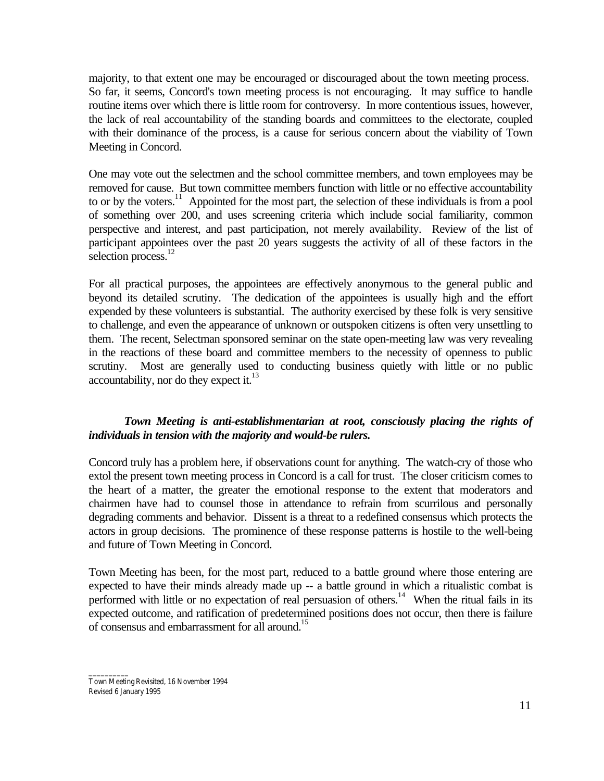majority, to that extent one may be encouraged or discouraged about the town meeting process. So far, it seems, Concord's town meeting process is not encouraging. It may suffice to handle routine items over which there is little room for controversy. In more contentious issues, however, the lack of real accountability of the standing boards and committees to the electorate, coupled with their dominance of the process, is a cause for serious concern about the viability of Town Meeting in Concord.

One may vote out the selectmen and the school committee members, and town employees may be removed for cause. But town committee members function with little or no effective accountability to or by the voters.<sup>11</sup> Appointed for the most part, the selection of these individuals is from a pool of something over 200, and uses screening criteria which include social familiarity, common perspective and interest, and past participation, not merely availability. Review of the list of participant appointees over the past 20 years suggests the activity of all of these factors in the selection process.<sup>12</sup>

For all practical purposes, the appointees are effectively anonymous to the general public and beyond its detailed scrutiny. The dedication of the appointees is usually high and the effort expended by these volunteers is substantial. The authority exercised by these folk is very sensitive to challenge, and even the appearance of unknown or outspoken citizens is often very unsettling to them. The recent, Selectman sponsored seminar on the state open-meeting law was very revealing in the reactions of these board and committee members to the necessity of openness to public scrutiny. Most are generally used to conducting business quietly with little or no public accountability, nor do they expect it. $^{13}$ 

### *Town Meeting is anti-establishmentarian at root, consciously placing the rights of individuals in tension with the majority and would-be rulers.*

Concord truly has a problem here, if observations count for anything. The watch-cry of those who extol the present town meeting process in Concord is a call for trust. The closer criticism comes to the heart of a matter, the greater the emotional response to the extent that moderators and chairmen have had to counsel those in attendance to refrain from scurrilous and personally degrading comments and behavior. Dissent is a threat to a redefined consensus which protects the actors in group decisions. The prominence of these response patterns is hostile to the well-being and future of Town Meeting in Concord.

Town Meeting has been, for the most part, reduced to a battle ground where those entering are expected to have their minds already made up -- a battle ground in which a ritualistic combat is performed with little or no expectation of real persuasion of others.<sup>14</sup> When the ritual fails in its expected outcome, and ratification of predetermined positions does not occur, then there is failure of consensus and embarrassment for all around.<sup>15</sup>

\_\_\_\_\_\_\_\_\_\_ Town Meeting Revisited, 16 November 1994 Revised 6 January 1995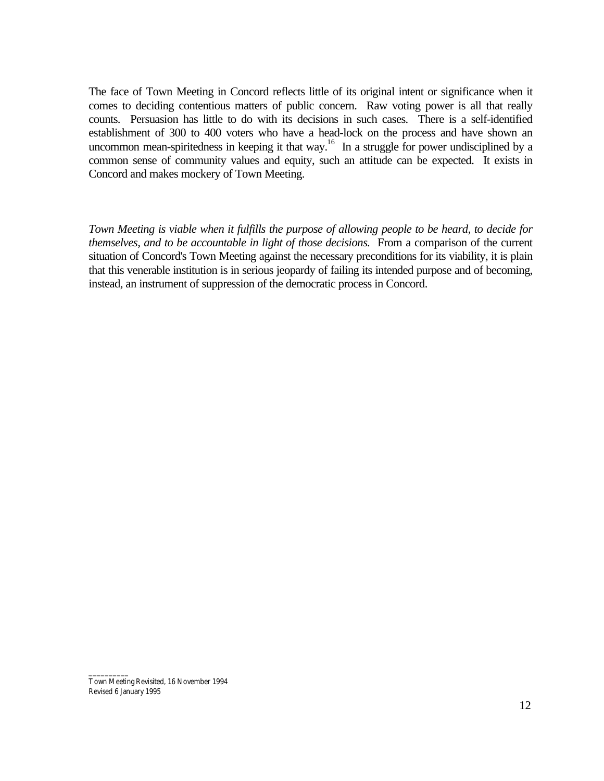The face of Town Meeting in Concord reflects little of its original intent or significance when it comes to deciding contentious matters of public concern. Raw voting power is all that really counts. Persuasion has little to do with its decisions in such cases. There is a self-identified establishment of 300 to 400 voters who have a head-lock on the process and have shown an uncommon mean-spiritedness in keeping it that way.<sup>16</sup> In a struggle for power undisciplined by a common sense of community values and equity, such an attitude can be expected. It exists in Concord and makes mockery of Town Meeting.

*Town Meeting is viable when it fulfills the purpose of allowing people to be heard, to decide for themselves, and to be accountable in light of those decisions.* From a comparison of the current situation of Concord's Town Meeting against the necessary preconditions for its viability, it is plain that this venerable institution is in serious jeopardy of failing its intended purpose and of becoming, instead, an instrument of suppression of the democratic process in Concord.

Town Meeting Revisited, 16 November 1994 Revised 6 January 1995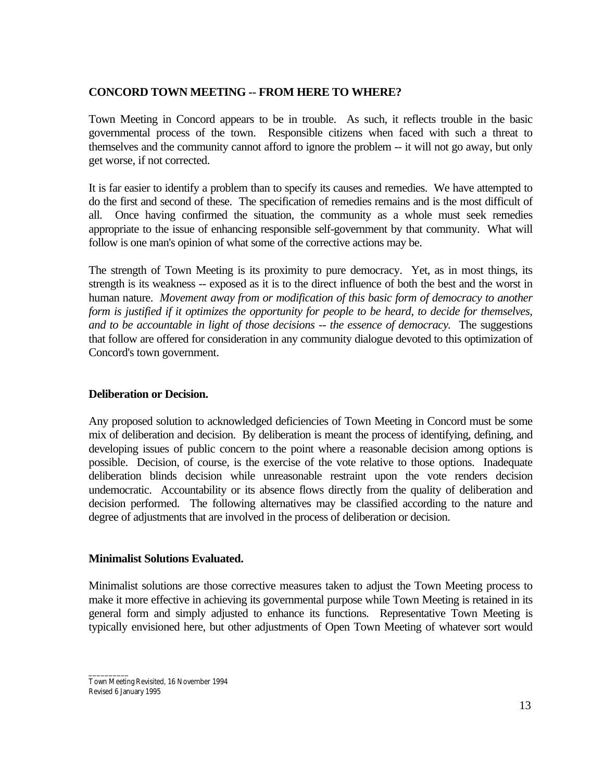### **CONCORD TOWN MEETING -- FROM HERE TO WHERE?**

Town Meeting in Concord appears to be in trouble. As such, it reflects trouble in the basic governmental process of the town. Responsible citizens when faced with such a threat to themselves and the community cannot afford to ignore the problem -- it will not go away, but only get worse, if not corrected.

It is far easier to identify a problem than to specify its causes and remedies. We have attempted to do the first and second of these. The specification of remedies remains and is the most difficult of all. Once having confirmed the situation, the community as a whole must seek remedies appropriate to the issue of enhancing responsible self-government by that community. What will follow is one man's opinion of what some of the corrective actions may be.

The strength of Town Meeting is its proximity to pure democracy. Yet, as in most things, its strength is its weakness -- exposed as it is to the direct influence of both the best and the worst in human nature. *Movement away from or modification of this basic form of democracy to another form is justified if it optimizes the opportunity for people to be heard, to decide for themselves, and to be accountable in light of those decisions -- the essence of democracy.* The suggestions that follow are offered for consideration in any community dialogue devoted to this optimization of Concord's town government.

### **Deliberation or Decision.**

Any proposed solution to acknowledged deficiencies of Town Meeting in Concord must be some mix of deliberation and decision. By deliberation is meant the process of identifying, defining, and developing issues of public concern to the point where a reasonable decision among options is possible. Decision, of course, is the exercise of the vote relative to those options. Inadequate deliberation blinds decision while unreasonable restraint upon the vote renders decision undemocratic. Accountability or its absence flows directly from the quality of deliberation and decision performed. The following alternatives may be classified according to the nature and degree of adjustments that are involved in the process of deliberation or decision.

#### **Minimalist Solutions Evaluated.**

Minimalist solutions are those corrective measures taken to adjust the Town Meeting process to make it more effective in achieving its governmental purpose while Town Meeting is retained in its general form and simply adjusted to enhance its functions. Representative Town Meeting is typically envisioned here, but other adjustments of Open Town Meeting of whatever sort would

\_\_\_\_\_\_\_\_\_\_ Town Meeting Revisited, 16 November 1994 Revised 6 January 1995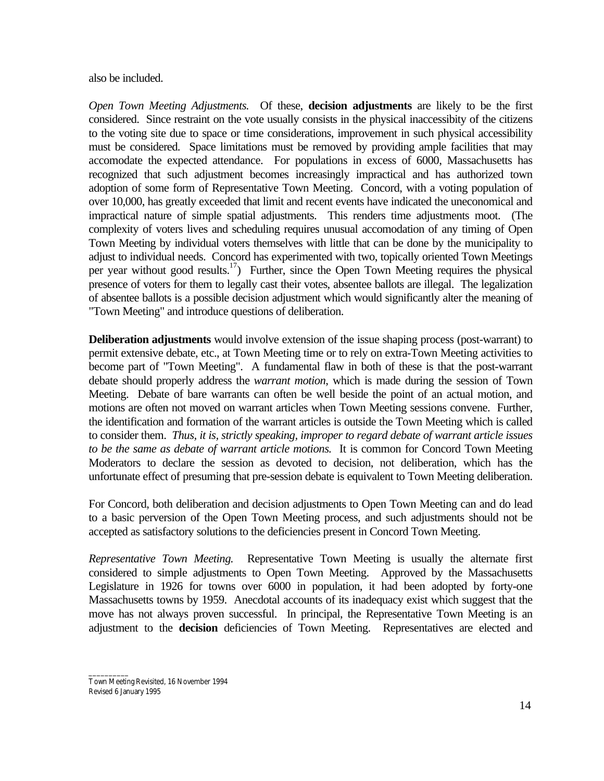also be included.

*Open Town Meeting Adjustments.* Of these, **decision adjustments** are likely to be the first considered. Since restraint on the vote usually consists in the physical inaccessibity of the citizens to the voting site due to space or time considerations, improvement in such physical accessibility must be considered. Space limitations must be removed by providing ample facilities that may accomodate the expected attendance. For populations in excess of 6000, Massachusetts has recognized that such adjustment becomes increasingly impractical and has authorized town adoption of some form of Representative Town Meeting. Concord, with a voting population of over 10,000, has greatly exceeded that limit and recent events have indicated the uneconomical and impractical nature of simple spatial adjustments. This renders time adjustments moot. (The complexity of voters lives and scheduling requires unusual accomodation of any timing of Open Town Meeting by individual voters themselves with little that can be done by the municipality to adjust to individual needs. Concord has experimented with two, topically oriented Town Meetings per year without good results.<sup>17</sup>) Further, since the Open Town Meeting requires the physical presence of voters for them to legally cast their votes, absentee ballots are illegal. The legalization of absentee ballots is a possible decision adjustment which would significantly alter the meaning of "Town Meeting" and introduce questions of deliberation.

**Deliberation adjustments** would involve extension of the issue shaping process (post-warrant) to permit extensive debate, etc., at Town Meeting time or to rely on extra-Town Meeting activities to become part of "Town Meeting". A fundamental flaw in both of these is that the post-warrant debate should properly address the *warrant motion*, which is made during the session of Town Meeting. Debate of bare warrants can often be well beside the point of an actual motion, and motions are often not moved on warrant articles when Town Meeting sessions convene. Further, the identification and formation of the warrant articles is outside the Town Meeting which is called to consider them. *Thus, it is, strictly speaking, improper to regard debate of warrant article issues to be the same as debate of warrant article motions.* It is common for Concord Town Meeting Moderators to declare the session as devoted to decision, not deliberation, which has the unfortunate effect of presuming that pre-session debate is equivalent to Town Meeting deliberation.

For Concord, both deliberation and decision adjustments to Open Town Meeting can and do lead to a basic perversion of the Open Town Meeting process, and such adjustments should not be accepted as satisfactory solutions to the deficiencies present in Concord Town Meeting.

*Representative Town Meeting.* Representative Town Meeting is usually the alternate first considered to simple adjustments to Open Town Meeting. Approved by the Massachusetts Legislature in 1926 for towns over 6000 in population, it had been adopted by forty-one Massachusetts towns by 1959. Anecdotal accounts of its inadequacy exist which suggest that the move has not always proven successful. In principal, the Representative Town Meeting is an adjustment to the **decision** deficiencies of Town Meeting. Representatives are elected and

Town Meeting Revisited, 16 November 1994 Revised 6 January 1995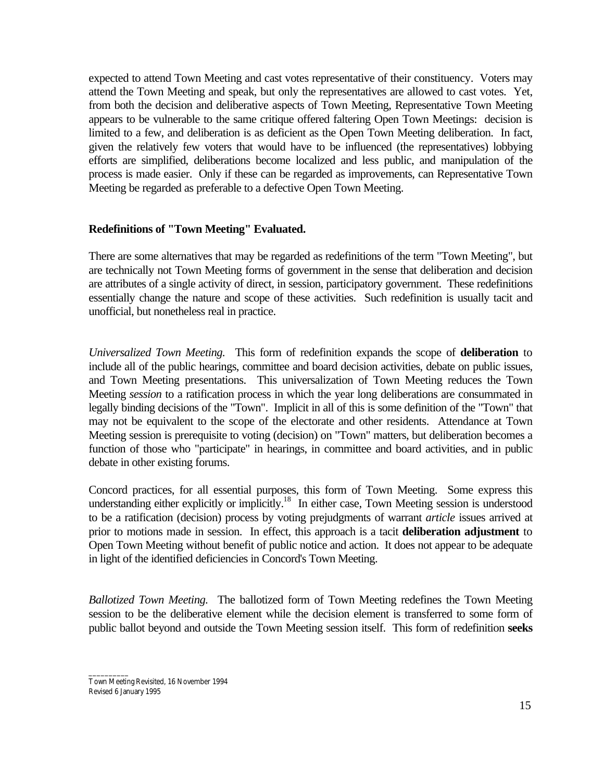expected to attend Town Meeting and cast votes representative of their constituency. Voters may attend the Town Meeting and speak, but only the representatives are allowed to cast votes. Yet, from both the decision and deliberative aspects of Town Meeting, Representative Town Meeting appears to be vulnerable to the same critique offered faltering Open Town Meetings: decision is limited to a few, and deliberation is as deficient as the Open Town Meeting deliberation. In fact, given the relatively few voters that would have to be influenced (the representatives) lobbying efforts are simplified, deliberations become localized and less public, and manipulation of the process is made easier. Only if these can be regarded as improvements, can Representative Town Meeting be regarded as preferable to a defective Open Town Meeting.

#### **Redefinitions of "Town Meeting" Evaluated.**

There are some alternatives that may be regarded as redefinitions of the term "Town Meeting", but are technically not Town Meeting forms of government in the sense that deliberation and decision are attributes of a single activity of direct, in session, participatory government. These redefinitions essentially change the nature and scope of these activities. Such redefinition is usually tacit and unofficial, but nonetheless real in practice.

*Universalized Town Meeting.* This form of redefinition expands the scope of **deliberation** to include all of the public hearings, committee and board decision activities, debate on public issues, and Town Meeting presentations. This universalization of Town Meeting reduces the Town Meeting *session* to a ratification process in which the year long deliberations are consummated in legally binding decisions of the "Town". Implicit in all of this is some definition of the "Town" that may not be equivalent to the scope of the electorate and other residents. Attendance at Town Meeting session is prerequisite to voting (decision) on "Town" matters, but deliberation becomes a function of those who "participate" in hearings, in committee and board activities, and in public debate in other existing forums.

Concord practices, for all essential purposes, this form of Town Meeting. Some express this understanding either explicitly or implicitly.<sup>18</sup> In either case, Town Meeting session is understood to be a ratification (decision) process by voting prejudgments of warrant *article* issues arrived at prior to motions made in session. In effect, this approach is a tacit **deliberation adjustment** to Open Town Meeting without benefit of public notice and action. It does not appear to be adequate in light of the identified deficiencies in Concord's Town Meeting.

*Ballotized Town Meeting.* The ballotized form of Town Meeting redefines the Town Meeting session to be the deliberative element while the decision element is transferred to some form of public ballot beyond and outside the Town Meeting session itself. This form of redefinition **seeks**

\_\_\_\_\_\_\_\_\_\_ Town Meeting Revisited, 16 November 1994 Revised 6 January 1995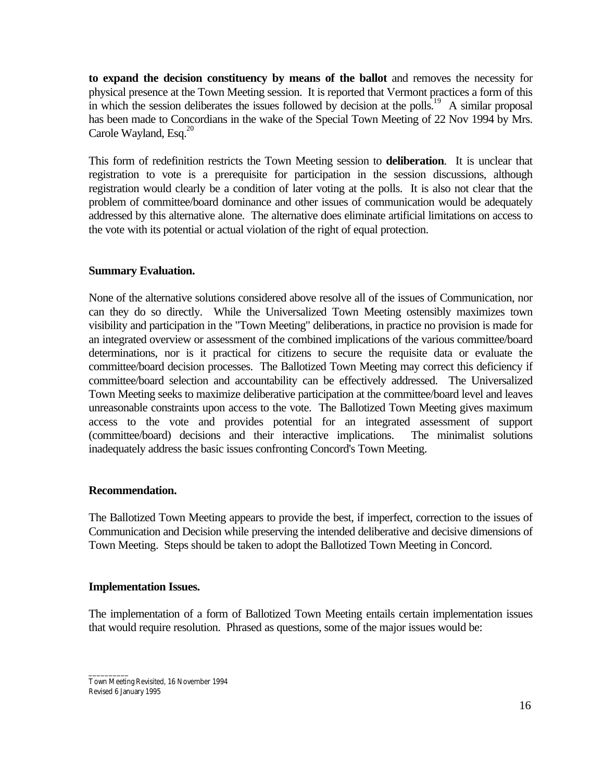**to expand the decision constituency by means of the ballot** and removes the necessity for physical presence at the Town Meeting session. It is reported that Vermont practices a form of this in which the session deliberates the issues followed by decision at the polls.<sup>19</sup> A similar proposal has been made to Concordians in the wake of the Special Town Meeting of 22 Nov 1994 by Mrs. Carole Wayland, Esq. $^{20}$ 

This form of redefinition restricts the Town Meeting session to **deliberation**. It is unclear that registration to vote is a prerequisite for participation in the session discussions, although registration would clearly be a condition of later voting at the polls. It is also not clear that the problem of committee/board dominance and other issues of communication would be adequately addressed by this alternative alone. The alternative does eliminate artificial limitations on access to the vote with its potential or actual violation of the right of equal protection.

### **Summary Evaluation.**

None of the alternative solutions considered above resolve all of the issues of Communication, nor can they do so directly. While the Universalized Town Meeting ostensibly maximizes town visibility and participation in the "Town Meeting" deliberations, in practice no provision is made for an integrated overview or assessment of the combined implications of the various committee/board determinations, nor is it practical for citizens to secure the requisite data or evaluate the committee/board decision processes. The Ballotized Town Meeting may correct this deficiency if committee/board selection and accountability can be effectively addressed. The Universalized Town Meeting seeks to maximize deliberative participation at the committee/board level and leaves unreasonable constraints upon access to the vote. The Ballotized Town Meeting gives maximum access to the vote and provides potential for an integrated assessment of support (committee/board) decisions and their interactive implications. The minimalist solutions inadequately address the basic issues confronting Concord's Town Meeting.

#### **Recommendation.**

The Ballotized Town Meeting appears to provide the best, if imperfect, correction to the issues of Communication and Decision while preserving the intended deliberative and decisive dimensions of Town Meeting. Steps should be taken to adopt the Ballotized Town Meeting in Concord.

#### **Implementation Issues.**

The implementation of a form of Ballotized Town Meeting entails certain implementation issues that would require resolution. Phrased as questions, some of the major issues would be:

\_\_\_\_\_\_\_\_\_\_ Town Meeting Revisited, 16 November 1994 Revised 6 January 1995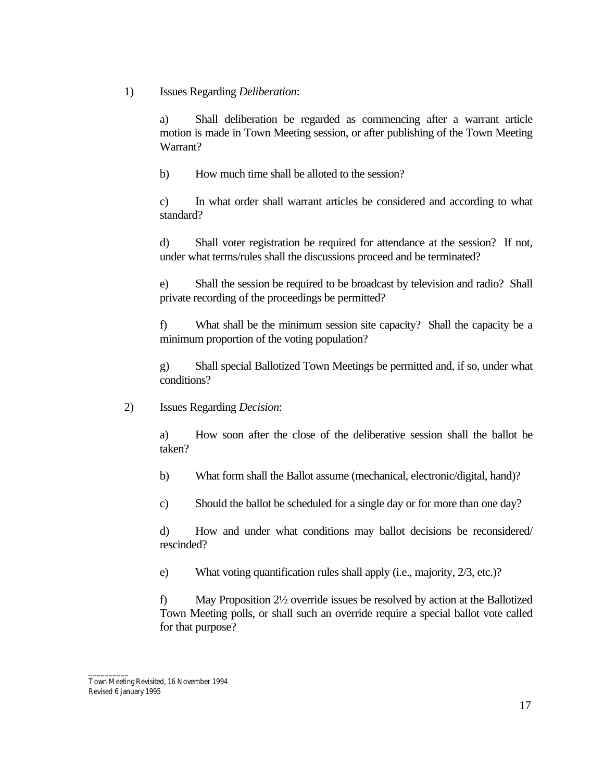1) Issues Regarding *Deliberation*:

a) Shall deliberation be regarded as commencing after a warrant article motion is made in Town Meeting session, or after publishing of the Town Meeting Warrant?

b) How much time shall be alloted to the session?

c) In what order shall warrant articles be considered and according to what standard?

d) Shall voter registration be required for attendance at the session? If not, under what terms/rules shall the discussions proceed and be terminated?

e) Shall the session be required to be broadcast by television and radio? Shall private recording of the proceedings be permitted?

f) What shall be the minimum session site capacity? Shall the capacity be a minimum proportion of the voting population?

g) Shall special Ballotized Town Meetings be permitted and, if so, under what conditions?

2) Issues Regarding *Decision*:

a) How soon after the close of the deliberative session shall the ballot be taken?

b) What form shall the Ballot assume (mechanical, electronic/digital, hand)?

c) Should the ballot be scheduled for a single day or for more than one day?

d) How and under what conditions may ballot decisions be reconsidered/ rescinded?

e) What voting quantification rules shall apply (i.e., majority, 2/3, etc.)?

f) May Proposition 2½ override issues be resolved by action at the Ballotized Town Meeting polls, or shall such an override require a special ballot vote called for that purpose?

\_\_\_\_\_\_\_\_\_\_ Town Meeting Revisited, 16 November 1994 Revised 6 January 1995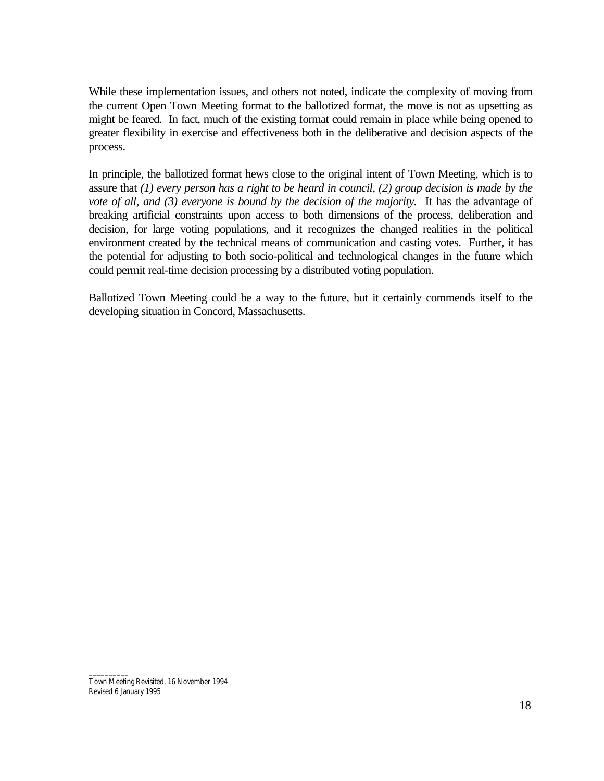While these implementation issues, and others not noted, indicate the complexity of moving from the current Open Town Meeting format to the ballotized format, the move is not as upsetting as might be feared. In fact, much of the existing format could remain in place while being opened to greater flexibility in exercise and effectiveness both in the deliberative and decision aspects of the process.

In principle, the ballotized format hews close to the original intent of Town Meeting, which is to assure that *(1) every person has a right to be heard in council, (2) group decision is made by the vote of all, and (3) everyone is bound by the decision of the majority.* It has the advantage of breaking artificial constraints upon access to both dimensions of the process, deliberation and decision, for large voting populations, and it recognizes the changed realities in the political environment created by the technical means of communication and casting votes. Further, it has the potential for adjusting to both socio-political and technological changes in the future which could permit real-time decision processing by a distributed voting population.

Ballotized Town Meeting could be a way to the future, but it certainly commends itself to the developing situation in Concord, Massachusetts.

Town Meeting Revisited, 16 November 1994 Revised 6 January 1995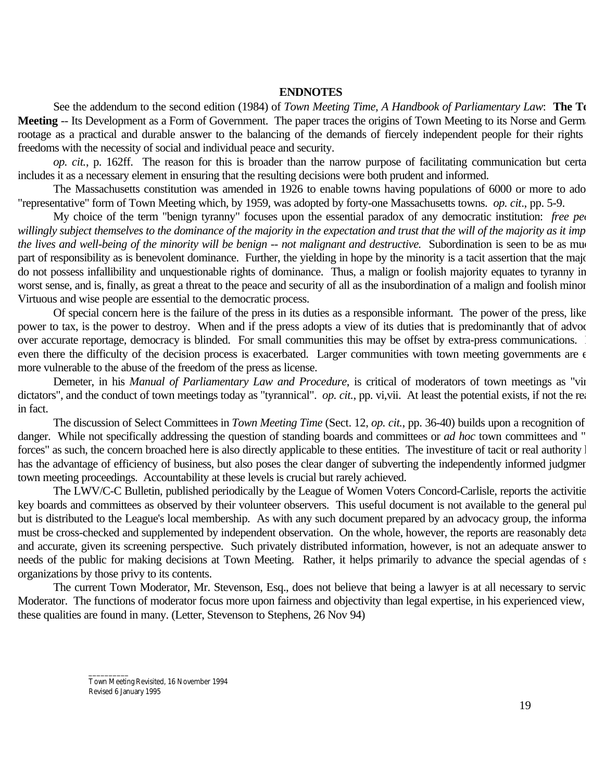#### **ENDNOTES**

See the addendum to the second edition (1984) of *Town Meeting Time, A Handbook of Parliamentary Law*: **The T**o **Meeting** -- Its Development as a Form of Government. The paper traces the origins of Town Meeting to its Norse and Germanics rootage as a practical and durable answer to the balancing of the demands of fiercely independent people for their rights freedoms with the necessity of social and individual peace and security.

*op. cit.*, p. 162ff. The reason for this is broader than the narrow purpose of facilitating communication but certa includes it as a necessary element in ensuring that the resulting decisions were both prudent and informed.

The Massachusetts constitution was amended in 1926 to enable towns having populations of 6000 or more to ado "representative" form of Town Meeting which, by 1959, was adopted by forty-one Massachusetts towns. *op. cit*., pp. 5-9.

My choice of the term "benign tyranny" focuses upon the essential paradox of any democratic institution: *free peo* willingly subject themselves to the dominance of the majority in the expectation and trust that the will of the majority as it imp *the lives and well-being of the minority will be benign -- not malignant and destructive.* Subordination is seen to be as much part of responsibility as is benevolent dominance. Further, the yielding in hope by the minority is a tacit assertion that the majority do not possess infallibility and unquestionable rights of dominance. Thus, a malign or foolish majority equates to tyranny in worst sense, and is, finally, as great a threat to the peace and security of all as the insubordination of a malign and foolish minor Virtuous and wise people are essential to the democratic process.

Of special concern here is the failure of the press in its duties as a responsible informant. The power of the press, like power to tax, is the power to destroy. When and if the press adopts a view of its duties that is predominantly that of advoc over accurate reportage, democracy is blinded. For small communities this may be offset by extra-press communications. even there the difficulty of the decision process is exacerbated. Larger communities with town meeting governments are  $\epsilon$ more vulnerable to the abuse of the freedom of the press as license.

Demeter, in his *Manual of Parliamentary Law and Procedure*, is critical of moderators of town meetings as "vir dictators", and the conduct of town meetings today as "tyrannical". *op. cit.*, pp. vi,vii. At least the potential exists, if not the real in fact.

The discussion of Select Committees in *Town Meeting Time* (Sect. 12, *op. cit.*, pp. 36-40) builds upon a recognition of danger. While not specifically addressing the question of standing boards and committees or *ad hoc* town committees and " forces" as such, the concern broached here is also directly applicable to these entities. The investiture of tacit or real authority l has the advantage of efficiency of business, but also poses the clear danger of subverting the independently informed judgment town meeting proceedings. Accountability at these levels is crucial but rarely achieved.

The LWV/C-C Bulletin, published periodically by the League of Women Voters Concord-Carlisle, reports the activitie key boards and committees as observed by their volunteer observers. This useful document is not available to the general pul but is distributed to the League's local membership. As with any such document prepared by an advocacy group, the informa must be cross-checked and supplemented by independent observation. On the whole, however, the reports are reasonably deta and accurate, given its screening perspective. Such privately distributed information, however, is not an adequate answer to needs of the public for making decisions at Town Meeting. Rather, it helps primarily to advance the special agendas of s organizations by those privy to its contents.

The current Town Moderator, Mr. Stevenson, Esq., does not believe that being a lawyer is at all necessary to servic Moderator. The functions of moderator focus more upon fairness and objectivity than legal expertise, in his experienced view, these qualities are found in many. (Letter, Stevenson to Stephens, 26 Nov 94)

Town Meeting Revisited, 16 November 1994 Revised 6 January 1995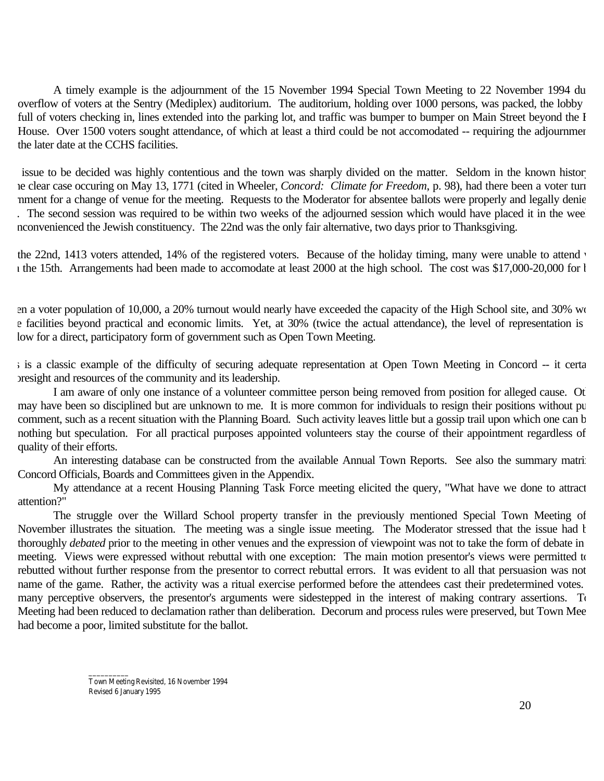A timely example is the adjournment of the 15 November 1994 Special Town Meeting to 22 November 1994 du overflow of voters at the Sentry (Mediplex) auditorium. The auditorium, holding over 1000 persons, was packed, the lobby full of voters checking in, lines extended into the parking lot, and traffic was bumper to bumper on Main Street beyond the I House. Over 1500 voters sought attendance, of which at least a third could be not accomodated -- requiring the adjournment the later date at the CCHS facilities.

issue to be decided was highly contentious and the town was sharply divided on the matter. Seldom in the known histor ne clear case occuring on May 13, 1771 (cited in Wheeler, *Concord: Climate for Freedom*, p. 98), had there been a voter turn rnment for a change of venue for the meeting. Requests to the Moderator for absentee ballots were properly and legally denie . The second session was required to be within two weeks of the adjourned session which would have placed it in the wee nconvenienced the Jewish constituency. The 22nd was the only fair alternative, two days prior to Thanksgiving.

the 22nd, 1413 voters attended, 14% of the registered voters. Because of the holiday timing, many were unable to attend v  $n$  the 15th. Arrangements had been made to accomodate at least 2000 at the high school. The cost was \$17,000-20,000 for b

en a voter population of 10,000, a 20% turnout would nearly have exceeded the capacity of the High School site, and 30% would e facilities beyond practical and economic limits. Yet, at 30% (twice the actual attendance), the level of representation is low for a direct, participatory form of government such as Open Town Meeting.

s is a classic example of the difficulty of securing adequate representation at Open Town Meeting in Concord -- it certa oresight and resources of the community and its leadership.

I am aware of only one instance of a volunteer committee person being removed from position for alleged cause. Ot may have been so disciplined but are unknown to me. It is more common for individuals to resign their positions without pu comment, such as a recent situation with the Planning Board. Such activity leaves little but a gossip trail upon which one can b nothing but speculation. For all practical purposes appointed volunteers stay the course of their appointment regardless of the quality of their efforts.

An interesting database can be constructed from the available Annual Town Reports. See also the summary matrix Concord Officials, Boards and Committees given in the Appendix.

My attendance at a recent Housing Planning Task Force meeting elicited the query, "What have we done to attract attention?"

The struggle over the Willard School property transfer in the previously mentioned Special Town Meeting of November illustrates the situation. The meeting was a single issue meeting. The Moderator stressed that the issue had been fluctuated by the meeting was a single issue meeting. The Moderator stressed that the issue had bee thoroughly *debated* prior to the meeting in other venues and the expression of viewpoint was not to take the form of debate in meeting. Views were expressed without rebuttal with one exception: The main motion presentor's views were permitted to rebutted without further response from the presentor to correct rebuttal errors. It was evident to all that persuasion was not name of the game. Rather, the activity was a ritual exercise performed before the attendees cast their predetermined votes. many perceptive observers, the presentor's arguments were sidestepped in the interest of making contrary assertions. To Meeting had been reduced to declamation rather than deliberation. Decorum and process rules were preserved, but Town Mee had become a poor, limited substitute for the ballot.